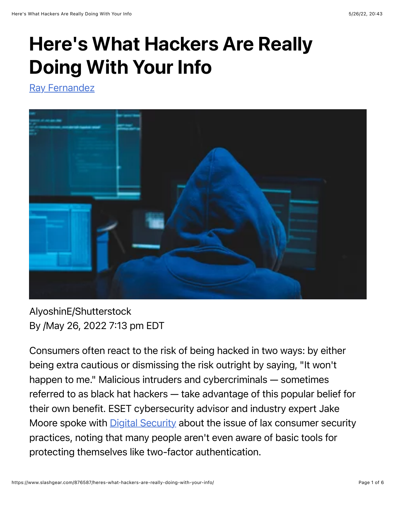# Here's What Hackers Are Really Doing With Your Info

[Ray Fernandez](https://www.slashgear.com/author/rayfernandez/)



### AlyoshinE/Shutterstock By /May 26, 2022 7:13 pm EDT

Consumers often react to the risk of being hacked in two ways: by either being extra cautious or dismissing the risk outright by saying, "It won't happen to me." Malicious intruders and cybercriminals — sometimes referred to as black hat hackers — take advantage of this popular belief for their own benefit. ESET cybersecurity advisor and industry expert Jake Moore spoke with **Digital Security** about the issue of lax consumer security practices, noting that many people aren't even aware of basic tools for protecting themselves like two-factor authentication.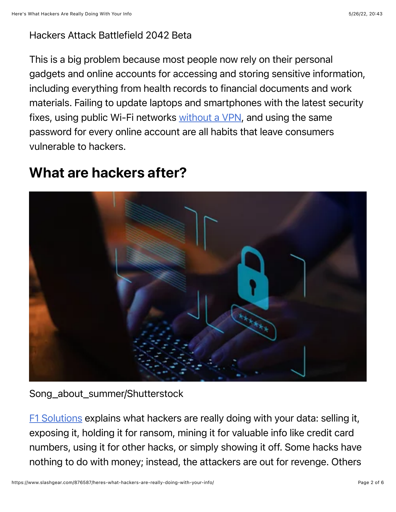#### Hackers Attack Battlefield 2042 Beta

This is a big problem because most people now rely on their personal gadgets and online accounts for accessing and storing sensitive information, including everything from health records to financial documents and work materials. Failing to update laptops and smartphones with the latest security fixes, using public Wi-Fi networks [without a VPN](https://www.slashgear.com/812385/how-to-connect-a-vpn-to-an-android-device/), and using the same password for every online account are all habits that leave consumers vulnerable to hackers.

## What are hackers after?



Song\_about\_summer/Shutterstock

[F1 Solutions](https://www.f1networks.com/blog/what-do-hackers-really-do-with-your-data/) explains what hackers are really doing with your data: selling it, exposing it, holding it for ransom, mining it for valuable info like credit card numbers, using it for other hacks, or simply showing it off. Some hacks have nothing to do with money; instead, the attackers are out for revenge. Others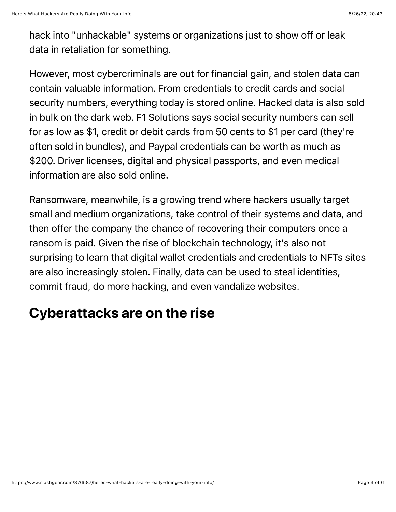hack into "unhackable" systems or organizations just to show off or leak data in retaliation for something.

However, most cybercriminals are out for financial gain, and stolen data can contain valuable information. From credentials to credit cards and social security numbers, everything today is stored online. Hacked data is also sold in bulk on the dark web. F1 Solutions says social security numbers can sell for as low as \$1, credit or debit cards from 50 cents to \$1 per card (they're often sold in bundles), and Paypal credentials can be worth as much as \$200. Driver licenses, digital and physical passports, and even medical information are also sold online.

Ransomware, meanwhile, is a growing trend where hackers usually target small and medium organizations, take control of their systems and data, and then offer the company the chance of recovering their computers once a ransom is paid. Given the rise of blockchain technology, it's also not surprising to learn that digital wallet credentials and credentials to NFTs sites are also increasingly stolen. Finally, data can be used to steal identities, commit fraud, do more hacking, and even vandalize websites.

# Cyberattacks are on the rise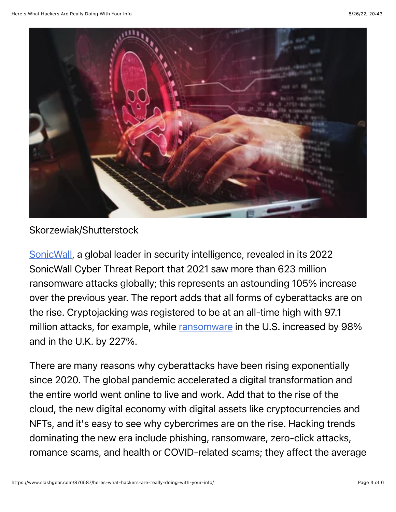

#### Skorzewiak/Shutterstock

[SonicWall](https://www.sonicwall.com/2022-cyber-threat-report/), a global leader in security intelligence, revealed in its 2022 SonicWall Cyber Threat Report that 2021 saw more than 623 million ransomware attacks globally; this represents an astounding 105% increase over the previous year. The report adds that all forms of cyberattacks are on the rise. Cryptojacking was registered to be at an all-time high with 97.1 million attacks, for example, while [ransomware](https://www.slashgear.com/what-is-ransomware-and-how-does-it-work-17703237) in the U.S. increased by 98% and in the U.K. by 227%.

There are many reasons why cyberattacks have been rising exponentially since 2020. The global pandemic accelerated a digital transformation and the entire world went online to live and work. Add that to the rise of the cloud, the new digital economy with digital assets like cryptocurrencies and NFTs, and it's easy to see why cybercrimes are on the rise. Hacking trends dominating the new era include phishing, ransomware, zero-click attacks, romance scams, and health or COVID-related scams; they affect the average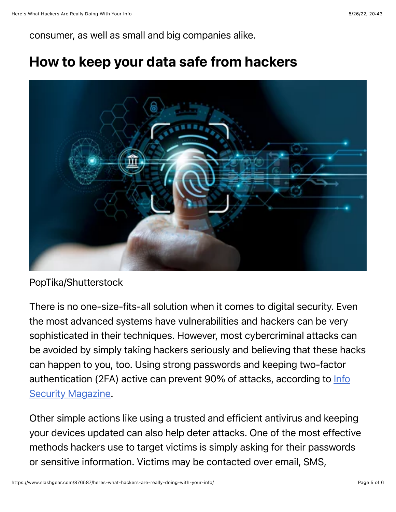consumer, as well as small and big companies alike.

### How to keep your data safe from hackers



#### PopTika/Shutterstock

There is no one-size-fits-all solution when it comes to digital security. Even the most advanced systems have vulnerabilities and hackers can be very sophisticated in their techniques. However, most cybercriminal attacks can be avoided by simply taking hackers seriously and believing that these hacks can happen to you, too. Using strong passwords and keeping two-factor authentication (2FA) active can prevent 90% of attacks, according to **Info Security Magazine.** 

Other simple actions like using a trusted and efficient antivirus and keeping your devices updated can also help deter attacks. One of the most effective methods hackers use to target victims is simply asking for their passwords or sensitive information. Victims may be contacted over email, SMS,